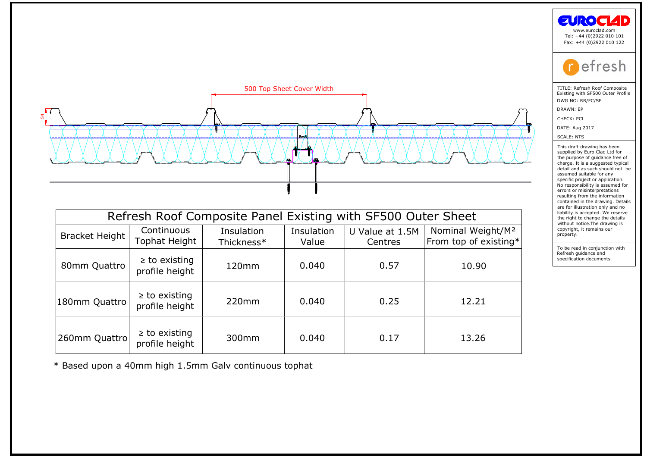

|                                                              |                                      |                                                       |            |                 |                               | <b>EUROCIAD</b><br>www.euroclad.com<br>Tel: +44 (0)2922 010 101<br>Fax: +44 (0)2922 010 122                                                                                                                                              |  |
|--------------------------------------------------------------|--------------------------------------|-------------------------------------------------------|------------|-----------------|-------------------------------|------------------------------------------------------------------------------------------------------------------------------------------------------------------------------------------------------------------------------------------|--|
|                                                              |                                      |                                                       |            |                 |                               | efresh                                                                                                                                                                                                                                   |  |
| 500 Top Sheet Cover Width                                    |                                      |                                                       |            |                 |                               | TITLE: Refresh Roof Composite<br>Existing with SF500 Outer Profile                                                                                                                                                                       |  |
|                                                              |                                      |                                                       |            |                 |                               | DWG NO: RR/FC/SF<br>DRAWN: EP                                                                                                                                                                                                            |  |
|                                                              |                                      |                                                       |            |                 |                               | CHECK: PCL                                                                                                                                                                                                                               |  |
|                                                              |                                      |                                                       |            |                 |                               | DATE: Aug 2017                                                                                                                                                                                                                           |  |
|                                                              |                                      |                                                       |            |                 |                               | <b>SCALE: NTS</b>                                                                                                                                                                                                                        |  |
|                                                              |                                      |                                                       |            |                 |                               | This draft drawing has been<br>supplied by Euro Clad Ltd for<br>the purpose of guidance free of<br>charge. It is a suggested typical<br>detail and as such should not be<br>assumed suitable for any<br>specific project or application. |  |
|                                                              |                                      |                                                       |            |                 |                               | No responsibility is assumed for<br>errors or misinterpretations<br>resulting from the information<br>contained in the drawing. Details<br>are for illustration only and no                                                              |  |
| Refresh Roof Composite Panel Existing with SF500 Outer Sheet |                                      |                                                       |            |                 |                               | liability is accepted. We reserve<br>the right to change the details                                                                                                                                                                     |  |
|                                                              | Continuous                           | Insulation                                            | Insulation | U Value at 1.5M | Nominal Weight/M <sup>2</sup> | without notice. The drawing is<br>copyright, it remains our                                                                                                                                                                              |  |
| <b>Bracket Height</b>                                        | Tophat Height                        | Thickness*                                            | Value      | Centres         | From top of existing*         | property.                                                                                                                                                                                                                                |  |
| 80mm Quattro                                                 | $\geq$ to existing<br>profile height | 120mm                                                 | 0.040      | 0.57            | 10.90                         | To be read in conjunction with<br>Refresh guidance and<br>specification documents                                                                                                                                                        |  |
| 180mm Quattro                                                | $\geq$ to existing<br>profile height | 220mm                                                 | 0.040      | 0.25            | 12.21                         |                                                                                                                                                                                                                                          |  |
| 260mm Quattro                                                | $\geq$ to existing<br>profile height | 300mm                                                 | 0.040      | 0.17            | 13.26                         |                                                                                                                                                                                                                                          |  |
|                                                              |                                      | * Based upon a 40mm high 1.5mm Galv continuous tophat |            |                 |                               |                                                                                                                                                                                                                                          |  |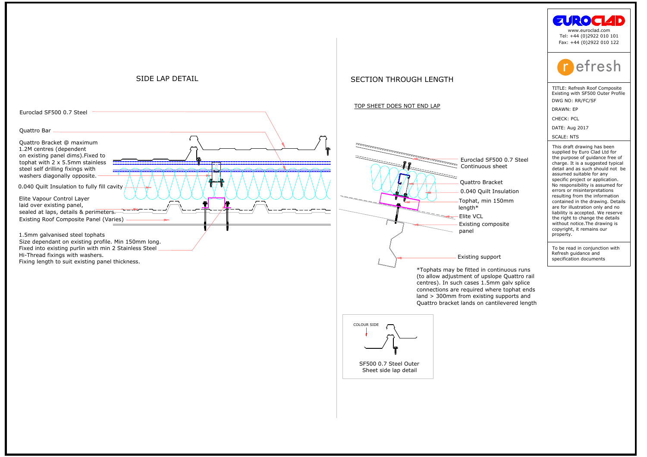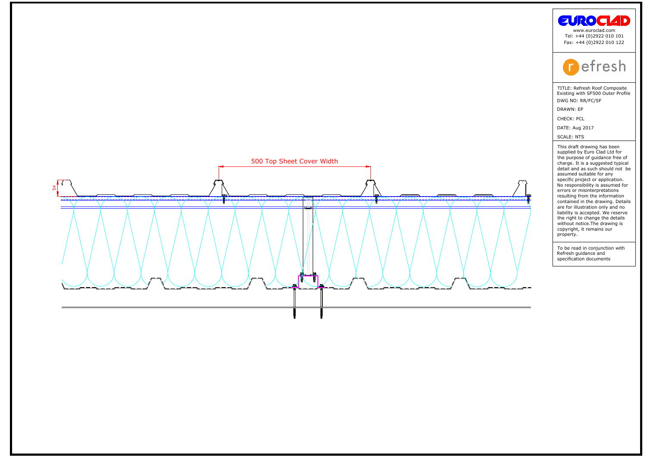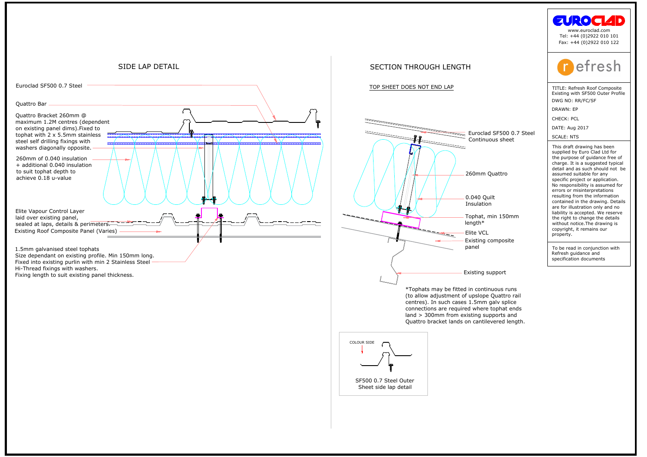

# TOP SHEET DOES NOT END LAPTOP SHEET DOES NOT END LAPTOP



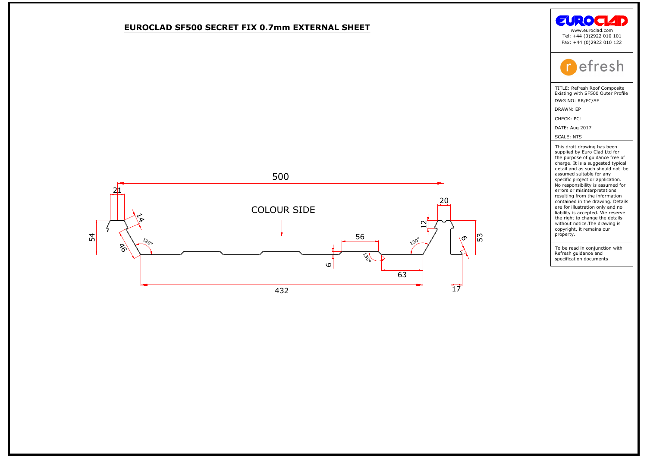